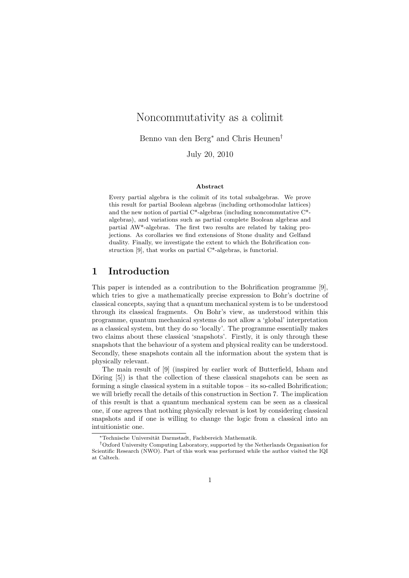# Noncommutativity as a colimit

Benno van den Berg<sup>∗</sup> and Chris Heunen†

July 20, 2010

#### Abstract

Every partial algebra is the colimit of its total subalgebras. We prove this result for partial Boolean algebras (including orthomodular lattices) and the new notion of partial C\*-algebras (including noncommutative C\* algebras), and variations such as partial complete Boolean algebras and partial AW\*-algebras. The first two results are related by taking projections. As corollaries we find extensions of Stone duality and Gelfand duality. Finally, we investigate the extent to which the Bohrification construction [9], that works on partial C\*-algebras, is functorial.

## 1 Introduction

This paper is intended as a contribution to the Bohrification programme [9], which tries to give a mathematically precise expression to Bohr's doctrine of classical concepts, saying that a quantum mechanical system is to be understood through its classical fragments. On Bohr's view, as understood within this programme, quantum mechanical systems do not allow a 'global' interpretation as a classical system, but they do so 'locally'. The programme essentially makes two claims about these classical 'snapshots'. Firstly, it is only through these snapshots that the behaviour of a system and physical reality can be understood. Secondly, these snapshots contain all the information about the system that is physically relevant.

The main result of [9] (inspired by earlier work of Butterfield, Isham and Döring  $[5]$ ) is that the collection of these classical snapshots can be seen as forming a single classical system in a suitable topos – its so-called Bohrification; we will briefly recall the details of this construction in Section 7. The implication of this result is that a quantum mechanical system can be seen as a classical one, if one agrees that nothing physically relevant is lost by considering classical snapshots and if one is willing to change the logic from a classical into an intuitionistic one.

Technische Universität Darmstadt, Fachbereich Mathematik.

<sup>†</sup>Oxford University Computing Laboratory, supported by the Netherlands Organisation for Scientific Research (NWO). Part of this work was performed while the author visited the IQI at Caltech.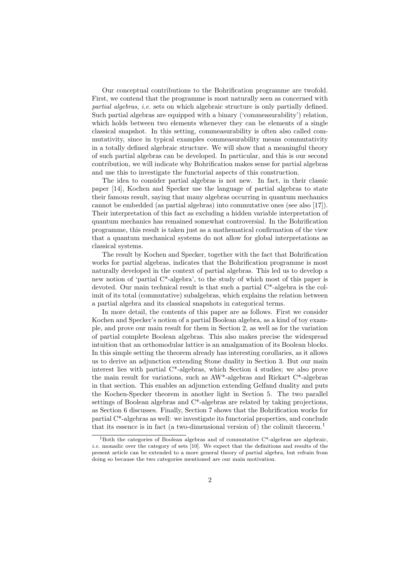Our conceptual contributions to the Bohrification programme are twofold. First, we contend that the programme is most naturally seen as concerned with partial algebras, i.e. sets on which algebraic structure is only partially defined. Such partial algebras are equipped with a binary ('commeasurability') relation, which holds between two elements whenever they can be elements of a single classical snapshot. In this setting, commeasurability is often also called commutativity, since in typical examples commeasurability means commutativity in a totally defined algebraic structure. We will show that a meaningful theory of such partial algebras can be developed. In particular, and this is our second contribution, we will indicate why Bohrification makes sense for partial algebras and use this to investigate the functorial aspects of this construction.

The idea to consider partial algebras is not new. In fact, in their classic paper [14], Kochen and Specker use the language of partial algebras to state their famous result, saying that many algebras occurring in quantum mechanics cannot be embedded (as partial algebras) into commutative ones (see also [17]). Their interpretation of this fact as excluding a hidden variable interpretation of quantum mechanics has remained somewhat controversial. In the Bohrification programme, this result is taken just as a mathematical confirmation of the view that a quantum mechanical systems do not allow for global interpretations as classical systems.

The result by Kochen and Specker, together with the fact that Bohrification works for partial algebras, indicates that the Bohrification programme is most naturally developed in the context of partial algebras. This led us to develop a new notion of 'partial C\*-algebra', to the study of which most of this paper is devoted. Our main technical result is that such a partial C\*-algebra is the colimit of its total (commutative) subalgebras, which explains the relation between a partial algebra and its classical snapshots in categorical terms.

In more detail, the contents of this paper are as follows. First we consider Kochen and Specker's notion of a partial Boolean algebra, as a kind of toy example, and prove our main result for them in Section 2, as well as for the variation of partial complete Boolean algebras. This also makes precise the widespread intuition that an orthomodular lattice is an amalgamation of its Boolean blocks. In this simple setting the theorem already has interesting corollaries, as it allows us to derive an adjunction extending Stone duality in Section 3. But our main interest lies with partial C\*-algebras, which Section 4 studies; we also prove the main result for variations, such as AW\*-algebras and Rickart C\*-algebras in that section. This enables an adjunction extending Gelfand duality and puts the Kochen-Specker theorem in another light in Section 5. The two parallel settings of Boolean algebras and C\*-algebras are related by taking projections, as Section 6 discusses. Finally, Section 7 shows that the Bohrification works for partial C\*-algebras as well: we investigate its functorial properties, and conclude that its essence is in fact (a two-dimensional version of) the colimit theorem.<sup>1</sup>

<sup>&</sup>lt;sup>1</sup>Both the categories of Boolean algebras and of commutative  $C^*$ -algebras are algebraic, i.e. monadic over the category of sets [10]. We expect that the definitions and results of the present article can be extended to a more general theory of partial algebra, but refrain from doing so because the two categories mentioned are our main motivation.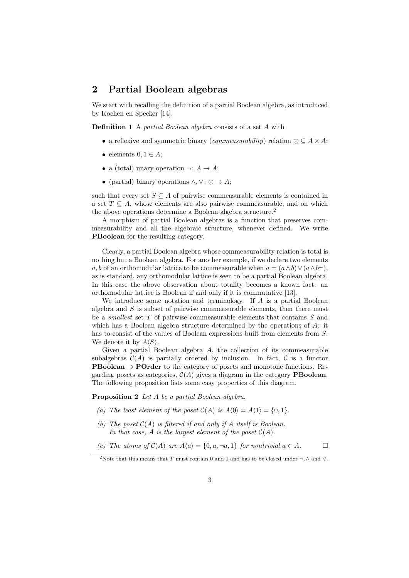## 2 Partial Boolean algebras

We start with recalling the definition of a partial Boolean algebra, as introduced by Kochen en Specker [14].

Definition 1 A partial Boolean algebra consists of a set A with

- a reflexive and symmetric binary (*commeasurability*) relation  $\odot \subseteq A \times A$ ;
- elements  $0, 1 \in A$ ;
- a (total) unary operation  $\neg: A \to A$ ;
- (partial) binary operations  $\wedge, \vee: \odot \rightarrow A;$

such that every set  $S \subseteq A$  of pairwise commeasurable elements is contained in a set  $T \subseteq A$ , whose elements are also pairwise commeasurable, and on which the above operations determine a Boolean algebra structure.<sup>2</sup>

A morphism of partial Boolean algebras is a function that preserves commeasurability and all the algebraic structure, whenever defined. We write PBoolean for the resulting category.

Clearly, a partial Boolean algebra whose commeasurability relation is total is nothing but a Boolean algebra. For another example, if we declare two elements a, b of an orthomodular lattice to be commeasurable when  $a = (a \wedge b) \vee (a \wedge b^{\perp}),$ as is standard, any orthomodular lattice is seen to be a partial Boolean algebra. In this case the above observation about totality becomes a known fact: an orthomodular lattice is Boolean if and only if it is commutative [13].

We introduce some notation and terminology. If  $A$  is a partial Boolean algebra and  $S$  is subset of pairwise commeasurable elements, then there must be a smallest set T of pairwise commeasurable elements that contains S and which has a Boolean algebra structure determined by the operations of A: it has to consist of the values of Boolean expressions built from elements from S. We denote it by  $A\langle S \rangle$ .

Given a partial Boolean algebra A, the collection of its commeasurable subalgebras  $\mathcal{C}(A)$  is partially ordered by inclusion. In fact,  $\mathcal C$  is a functor **PBoolean**  $\rightarrow$  **POrder** to the category of posets and monotone functions. Regarding posets as categories,  $C(A)$  gives a diagram in the category **PBoolean**. The following proposition lists some easy properties of this diagram.

Proposition 2 Let A be a partial Boolean algebra.

- (a) The least element of the poset  $C(A)$  is  $A(0) = A(1) = \{0, 1\}.$
- (b) The poset  $C(A)$  is filtered if and only if A itself is Boolean. In that case, A is the largest element of the poset  $\mathcal{C}(A)$ .

(c) The atoms of  $C(A)$  are  $A\langle a \rangle = \{0, a, \neg a, 1\}$  for nontrivial  $a \in A$ .

<sup>&</sup>lt;sup>2</sup>Note that this means that T must contain 0 and 1 and has to be closed under  $\neg$ ,  $\wedge$  and  $\vee$ .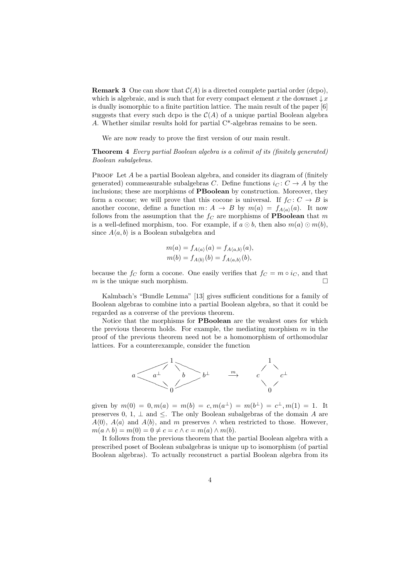**Remark 3** One can show that  $C(A)$  is a directed complete partial order (dcpo), which is algebraic, and is such that for every compact element x the downset  $\downarrow x$ is dually isomorphic to a finite partition lattice. The main result of the paper [6] suggests that every such dcpo is the  $\mathcal{C}(A)$  of a unique partial Boolean algebra A. Whether similar results hold for partial C\*-algebras remains to be seen.

We are now ready to prove the first version of our main result.

Theorem 4 Every partial Boolean algebra is a colimit of its (finitely generated) Boolean subalgebras.

PROOF Let  $A$  be a partial Boolean algebra, and consider its diagram of (finitely generated) commeasurable subalgebras C. Define functions  $i<sub>C</sub> : C \rightarrow A$  by the inclusions; these are morphisms of PBoolean by construction. Moreover, they form a cocone; we will prove that this cocone is universal. If  $f_C: C \to B$  is another cocone, define a function  $m: A \rightarrow B$  by  $m(a) = f_{A(a)}(a)$ . It now follows from the assumption that the  $f_C$  are morphisms of **PBoolean** that m is a well-defined morphism, too. For example, if  $a \odot b$ , then also  $m(a) \odot m(b)$ , since  $A\langle a, b \rangle$  is a Boolean subalgebra and

$$
m(a) = f_{A\langle a \rangle}(a) = f_{A\langle a,b \rangle}(a), m(b) = f_{A\langle b \rangle}(b) = f_{A\langle a,b \rangle}(b),
$$

because the  $f_C$  form a cocone. One easily verifies that  $f_C = m \circ i_C$ , and that m is the unique such morphism.  $\square$ 

Kalmbach's "Bundle Lemma" [13] gives sufficient conditions for a family of Boolean algebras to combine into a partial Boolean algebra, so that it could be regarded as a converse of the previous theorem.

Notice that the morphisms for PBoolean are the weakest ones for which the previous theorem holds. For example, the mediating morphism  $m$  in the proof of the previous theorem need not be a homomorphism of orthomodular lattices. For a counterexample, consider the function



given by  $m(0) = 0, m(a) = m(b) = c, m(a^{\perp}) = m(b^{\perp}) = c^{\perp}, m(1) = 1$ . It preserves 0, 1,  $\perp$  and  $\leq$ . The only Boolean subalgebras of the domain A are  $A(0)$ ,  $A\langle a \rangle$  and  $A\langle b \rangle$ , and m preserves  $\wedge$  when restricted to those. However,  $m(a \wedge b) = m(0) = 0 \neq c = c \wedge c = m(a) \wedge m(b).$ 

It follows from the previous theorem that the partial Boolean algebra with a prescribed poset of Boolean subalgebras is unique up to isomorphism (of partial Boolean algebras). To actually reconstruct a partial Boolean algebra from its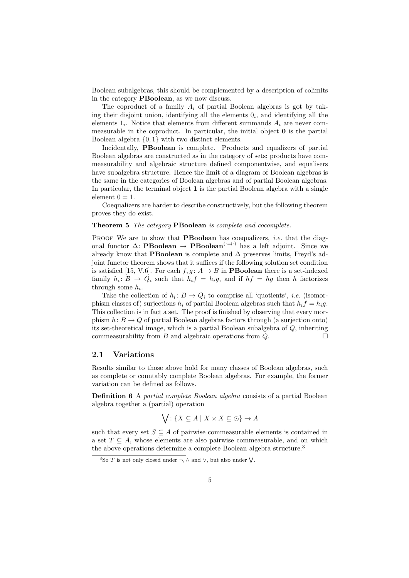Boolean subalgebras, this should be complemented by a description of colimits in the category PBoolean, as we now discuss.

The coproduct of a family  $A_i$  of partial Boolean algebras is got by taking their disjoint union, identifying all the elements  $0<sub>i</sub>$ , and identifying all the elements  $1_i$ . Notice that elements from different summands  $A_i$  are never commeasurable in the coproduct. In particular, the initial object 0 is the partial Boolean algebra {0, 1} with two distinct elements.

Incidentally, PBoolean is complete. Products and equalizers of partial Boolean algebras are constructed as in the category of sets; products have commeasurability and algebraic structure defined componentwise, and equalisers have subalgebra structure. Hence the limit of a diagram of Boolean algebras is the same in the categories of Boolean algebras and of partial Boolean algebras. In particular, the terminal object 1 is the partial Boolean algebra with a single element  $0 = 1$ .

Coequalizers are harder to describe constructively, but the following theorem proves they do exist.

#### Theorem 5 The category PBoolean is complete and cocomplete.

PROOF We are to show that **PBoolean** has coequalizers, *i.e.* that the diagonal functor  $\Delta$ : **PBoolean** → **PBoolean**<sup>(- $\Rightarrow$ )</sup> has a left adjoint. Since we already know that PBoolean is complete and  $\Delta$  preserves limits, Freyd's adjoint functor theorem shows that it suffices if the following solution set condition is satisfied [15, V.6]. For each  $f, g: A \rightarrow B$  in **PBoolean** there is a set-indexed family  $h_i: B \to Q_i$  such that  $h_i f = h_i g$ , and if  $hf = hg$  then h factorizes through some  $h_i$ .

Take the collection of  $h_i: B \to Q_i$  to comprise all 'quotients', *i.e.* (isomorphism classes of) surjections  $h_i$  of partial Boolean algebras such that  $h_i f = h_i g$ . This collection is in fact a set. The proof is finished by observing that every morphism  $h: B \to Q$  of partial Boolean algebras factors through (a surjection onto) its set-theoretical image, which is a partial Boolean subalgebra of Q, inheriting commeasurability from B and algebraic operations from  $Q$ .

### 2.1 Variations

Results similar to those above hold for many classes of Boolean algebras, such as complete or countably complete Boolean algebras. For example, the former variation can be defined as follows.

Definition 6 A partial complete Boolean algebra consists of a partial Boolean algebra together a (partial) operation

$$
\bigvee: \{ X \subseteq A \mid X \times X \subseteq \odot \} \to A
$$

such that every set  $S \subseteq A$  of pairwise commeasurable elements is contained in a set  $T \subseteq A$ , whose elements are also pairwise commeasurable, and on which the above operations determine a complete Boolean algebra structure.<sup>3</sup>

<sup>&</sup>lt;sup>3</sup>So T is not only closed under  $\neg, \wedge$  and  $\vee$ , but also under  $\vee$ .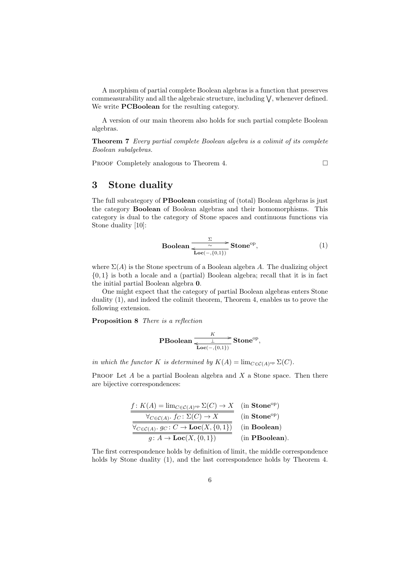A morphism of partial complete Boolean algebras is a function that preserves commeasurability and all the algebraic structure, including  $\vee$ , whenever defined. We write **PCBoolean** for the resulting category.

A version of our main theorem also holds for such partial complete Boolean algebras.

Theorem 7 Every partial complete Boolean algebra is a colimit of its complete Boolean subalgebras.

PROOF Completely analogous to Theorem 4.

# 3 Stone duality

The full subcategory of PBoolean consisting of (total) Boolean algebras is just the category Boolean of Boolean algebras and their homomorphisms. This category is dual to the category of Stone spaces and continuous functions via Stone duality [10]:

**Boolean** 
$$
\frac{\Sigma}{\sim}
$$
 **Stone**<sup>op</sup>,  
**Loc**(-, {0,1}) **Stone**<sup>op</sup>, (1)

where  $\Sigma(A)$  is the Stone spectrum of a Boolean algebra A. The dualizing object {0, 1} is both a locale and a (partial) Boolean algebra; recall that it is in fact the initial partial Boolean algebra 0.

One might expect that the category of partial Boolean algebras enters Stone duality (1), and indeed the colimit theorem, Theorem 4, enables us to prove the following extension.

Proposition 8 There is a reflection

$$
\mathbf{PBoolean} \xrightarrow[\mathbf{Loc(-, \{0,1\})}]{K} \mathbf{Stone}^{op},
$$

in which the functor K is determined by  $K(A) = \lim_{C \in \mathcal{C}(A)^{op}} \Sigma(C)$ .

PROOF Let  $A$  be a partial Boolean algebra and  $X$  a Stone space. Then there are bijective correspondences:

f : K(A) = limC∈C(A) op Σ(C) → X (in Stoneop) ∀C∈C(A) . f<sup>C</sup> : Σ(C) → X (in Stoneop) ∀C∈C(A) . g<sup>C</sup> : C → Loc(X, {0, 1}) (in Boolean) g : A → Loc(X, {0, 1}) (in PBoolean).

The first correspondence holds by definition of limit, the middle correspondence holds by Stone duality  $(1)$ , and the last correspondence holds by Theorem 4.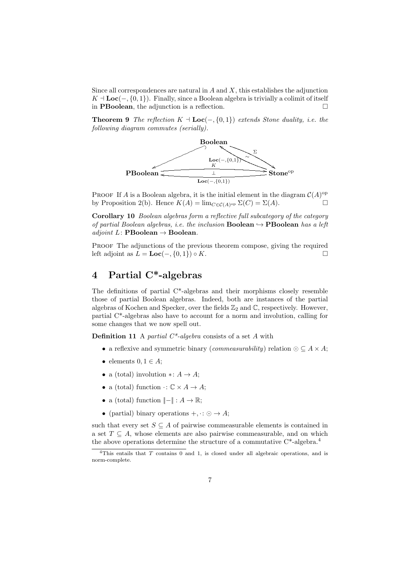Since all correspondences are natural in  $A$  and  $X$ , this establishes the adjunction  $K \perp Loc(-, \{0, 1\})$ . Finally, since a Boolean algebra is trivially a colimit of itself in **PBoolean**, the adjunction is a reflection.  $\Box$ 

**Theorem 9** The reflection  $K \dashv \text{Loc}(-, \{0, 1\})$  extends Stone duality, i.e. the following diagram commutes (serially).



PROOF If A is a Boolean algebra, it is the initial element in the diagram  $\mathcal{C}(A)$ <sup>op</sup> by Proposition 2(b). Hence  $K(A) = \lim_{C \in \mathcal{C}(A)^{op}} \Sigma(C) = \Sigma(A)$ .

Corollary 10 Boolean algebras form a reflective full subcategory of the category of partial Boolean algebras, i.e. the inclusion **Boolean**  $\rightarrow$  **PBoolean** has a left adjoint L: PBoolean  $\rightarrow$  Boolean.

PROOF The adjunctions of the previous theorem compose, giving the required left adjoint as  $L = \mathbf{Loc}(-, \{0, 1\}) \circ K$ .

# 4 Partial C\*-algebras

The definitions of partial C\*-algebras and their morphisms closely resemble those of partial Boolean algebras. Indeed, both are instances of the partial algebras of Kochen and Specker, over the fields  $\mathbb{Z}_2$  and  $\mathbb{C}$ , respectively. However, partial C\*-algebras also have to account for a norm and involution, calling for some changes that we now spell out.

**Definition 11** A partial  $C^*$ -algebra consists of a set A with

- a reflexive and symmetric binary (*commeasurability*) relation  $\odot \subseteq A \times A$ ;
- elements  $0, 1 \in A$ ;
- a (total) involution  $\ast: A \to A$ ;
- a (total) function  $\cdot: \mathbb{C} \times A \rightarrow A$ ;
- a (total) function  $\Vert \Vert : A \to \mathbb{R};$
- (partial) binary operations  $+,\cdot: \odot \rightarrow A;$

such that every set  $S \subseteq A$  of pairwise commeasurable elements is contained in a set  $T \subseteq A$ , whose elements are also pairwise commeasurable, and on which the above operations determine the structure of a commutative  $C^*$ -algebra.<sup>4</sup>

<sup>&</sup>lt;sup>4</sup>This entails that  $T$  contains 0 and 1, is closed under all algebraic operations, and is norm-complete.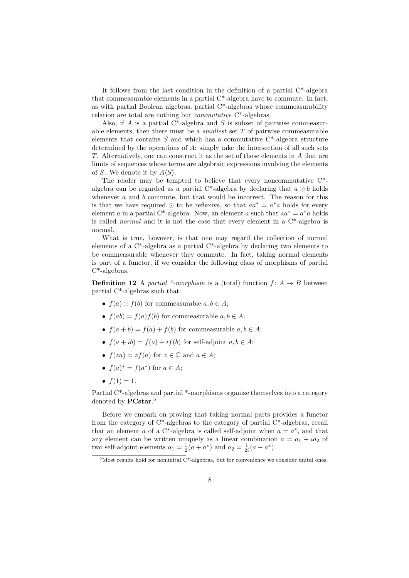It follows from the last condition in the definition of a partial  $C^*$ -algebra that commeasurable elements in a partial C\*-algebra have to commute. In fact, as with partial Boolean algebras, partial C\*-algebras whose commeasurability relation are total are nothing but commutative C\*-algebras.

Also, if  $A$  is a partial C<sup>\*</sup>-algebra and  $S$  is subset of pairwise commeasurable elements, then there must be a *smallest* set  $T$  of pairwise commeasurable elements that contains  $S$  and which has a commutative  $C^*$ -algebra structure determined by the operations of  $A$ : simply take the intersection of all such sets T. Alternatively, one can construct it as the set of those elements in A that are limits of sequences whose terms are algebraic expressions involving the elements of S. We denote it by  $A\langle S \rangle$ .

The reader may be tempted to believe that every noncommutative C\* algebra can be regarded as a partial C\*-algebra by declaring that  $a \odot b$  holds whenever  $a$  and  $b$  commute, but that would be incorrect. The reason for this is that we have required  $\odot$  to be reflexive, so that  $aa^* = a^*a$  holds for every element a in a partial C<sup>\*</sup>-algebra. Now, an element a such that  $aa^* = a^*a$  holds is called *normal* and it is not the case that every element in a  $C^*$ -algebra is normal.

What is true, however, is that one may regard the collection of normal elements of a C\*-algebra as a partial C\*-algebra by declaring two elements to be commeasurable whenever they commute. In fact, taking normal elements is part of a functor, if we consider the following class of morphisms of partial C\*-algebras.

**Definition 12** A partial \*-morphism is a (total) function  $f: A \rightarrow B$  between partial C\*-algebras such that:

- $f(a) \odot f(b)$  for commeasurable  $a, b \in A$ ;
- $f(ab) = f(a)f(b)$  for commeasurable  $a, b \in A$ ;
- $f(a + b) = f(a) + f(b)$  for commeasurable  $a, b \in A$ ;
- $f(a + ib) = f(a) + if(b)$  for self-adjoint  $a, b \in A$ ;
- $f(za) = z f(a)$  for  $z \in \mathbb{C}$  and  $a \in A$ ;
- $f(a)^* = f(a^*)$  for  $a \in A$ ;
- $f(1) = 1$ .

Partial C\*-algebras and partial \*-morphisms organize themselves into a category denoted by **PCstar**.<sup>5</sup>

Before we embark on proving that taking normal parts provides a functor from the category of C\*-algebras to the category of partial C\*-algebras, recall that an element a of a C<sup>\*</sup>-algebra is called self-adjoint when  $a = a^*$ , and that any element can be written uniquely as a linear combination  $a = a_1 + ia_2$  of two self-adjoint elements  $a_1 = \frac{1}{2}(a + a^*)$  and  $a_2 = \frac{1}{2i}(a - a^*)$ .

 $5$ Most results hold for nonunital C<sup>\*</sup>-algebras, but for convenience we consider unital ones.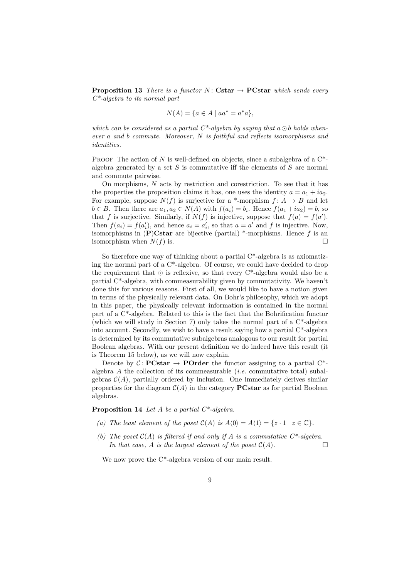**Proposition 13** There is a functor N: Cstar  $\rightarrow$  PCstar which sends every  $C^*$ -algebra to its normal part

$$
N(A) = \{ a \in A \mid aa^* = a^*a \},
$$

which can be considered as a partial  $C^*$ -algebra by saying that  $a \odot b$  holds whenever a and b commute. Moreover, N is faithful and reflects isomorphisms and identities.

PROOF The action of N is well-defined on objects, since a subalgebra of a  $C^*$ algebra generated by a set  $S$  is commutative iff the elements of  $S$  are normal and commute pairwise.

On morphisms, N acts by restriction and corestriction. To see that it has the properties the proposition claims it has, one uses the identity  $a = a_1 + i a_2$ . For example, suppose  $N(f)$  is surjective for a \*-morphism  $f: A \rightarrow B$  and let  $b \in B$ . Then there are  $a_1, a_2 \in N(A)$  with  $f(a_i) = b_i$ . Hence  $f(a_1 + ia_2) = b$ , so that f is surjective. Similarly, if  $N(f)$  is injective, suppose that  $f(a) = f(a')$ . Then  $f(a_i) = f(a'_i)$ , and hence  $a_i = a'_i$ , so that  $a = a'$  and f is injective. Now, isomorphisms in  $(P)$ Cstar are bijective (partial) \*-morphisms. Hence f is an isomorphism when  $N(f)$  is.

So therefore one way of thinking about a partial  $C^*$ -algebra is as axiomatizing the normal part of a C\*-algebra. Of course, we could have decided to drop the requirement that  $\odot$  is reflexive, so that every C<sup>\*</sup>-algebra would also be a partial C\*-algebra, with commeasurability given by commutativity. We haven't done this for various reasons. First of all, we would like to have a notion given in terms of the physically relevant data. On Bohr's philosophy, which we adopt in this paper, the physically relevant information is contained in the normal part of a C\*-algebra. Related to this is the fact that the Bohrification functor (which we will study in Section 7) only takes the normal part of a  $C^*$ -algebra into account. Secondly, we wish to have a result saying how a partial C\*-algebra is determined by its commutative subalgebras analogous to our result for partial Boolean algebras. With our present definition we do indeed have this result (it is Theorem 15 below), as we will now explain.

Denote by  $C:$  **PCstar**  $\rightarrow$  **POrder** the functor assigning to a partial  $C^*$ algebra  $A$  the collection of its commeasurable *(i.e.* commutative total) subalgebras  $\mathcal{C}(A)$ , partially ordered by inclusion. One immediately derives similar properties for the diagram  $\mathcal{C}(A)$  in the category **PCstar** as for partial Boolean algebras.

**Proposition 14** Let A be a partial  $C^*$ -algebra.

- (a) The least element of the poset  $C(A)$  is  $A(0) = A(1) = \{z \cdot 1 \mid z \in \mathbb{C}\}.$
- (b) The poset  $C(A)$  is filtered if and only if A is a commutative  $C^*$ -algebra. In that case, A is the largest element of the poset  $C(A)$ .

We now prove the C<sup>\*</sup>-algebra version of our main result.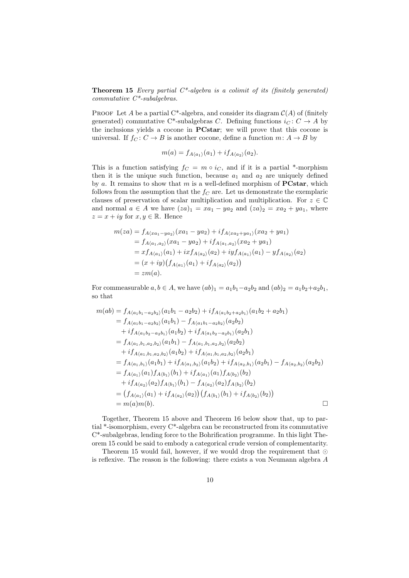**Theorem 15** Every partial  $C^*$ -algebra is a colimit of its (finitely generated) commutative  $C^*$ -subalgebras.

PROOF Let A be a partial C<sup>\*</sup>-algebra, and consider its diagram  $\mathcal{C}(A)$  of (finitely generated) commutative C\*-subalgebras C. Defining functions  $i_C : C \rightarrow A$  by the inclusions yields a cocone in PCstar; we will prove that this cocone is universal. If  $f_C: C \to B$  is another cocone, define a function  $m: A \to B$  by

$$
m(a) = f_{A\langle a_1\rangle}(a_1) + if_{A\langle a_2\rangle}(a_2).
$$

This is a function satisfying  $f_C = m \circ i_C$ , and if it is a partial \*-morphism then it is the unique such function, because  $a_1$  and  $a_2$  are uniquely defined by a. It remains to show that  $m$  is a well-defined morphism of  $\text{PCstar}$ , which follows from the assumption that the  $f_C$  are. Let us demonstrate the exemplaric clauses of preservation of scalar multiplication and multiplication. For  $z \in \mathbb{C}$ and normal  $a \in A$  we have  $(za)_1 = xa_1 - ya_2$  and  $(za)_2 = xa_2 + ya_1$ , where  $z = x + iy$  for  $x, y \in \mathbb{R}$ . Hence

$$
m(za) = f_{A\langle xa_1 - ya_2 \rangle}(xa_1 - ya_2) + if_{A\langle xa_2 + ya_1 \rangle}(xa_2 + ya_1)
$$
  
=  $f_{A\langle a_1, a_2 \rangle}(xa_1 - ya_2) + if_{A\langle a_1, a_2 \rangle}(xa_2 + ya_1)$   
=  $xf_{A\langle a_1 \rangle}(a_1) + ixf_{A\langle a_2 \rangle}(a_2) + iyf_{A\langle a_1 \rangle}(a_1) - yf_{A\langle a_2 \rangle}(a_2)$   
=  $(x + iy)(f_{A\langle a_1 \rangle}(a_1) + if_{A\langle a_2 \rangle}(a_2))$   
=  $zm(a).$ 

For commeasurable  $a, b \in A$ , we have  $(ab)_1 = a_1b_1-a_2b_2$  and  $(ab)_2 = a_1b_2+a_2b_1$ , so that

$$
m(ab) = f_{A\langle a_1b_1-a_2b_2\rangle}(a_1b_1 - a_2b_2) + if_{A\langle a_1b_2+a_2b_1\rangle}(a_1b_2 + a_2b_1)
$$
  
\n
$$
= f_{A\langle a_1b_1-a_2b_2\rangle}(a_1b_1) - f_{A\langle a_1b_1-a_2b_2\rangle}(a_2b_2)
$$
  
\n
$$
+ if_{A\langle a_1b_2-a_2b_1\rangle}(a_1b_2) + if_{A\langle a_1b_2-a_2b_1\rangle}(a_2b_1)
$$
  
\n
$$
= f_{A\langle a_1,b_1,a_2,b_2\rangle}(a_1b_1) - f_{A\langle a_1,b_1,a_2,b_2\rangle}(a_2b_2)
$$
  
\n
$$
+ if_{A\langle a_1,b_1,a_2,b_2\rangle}(a_1b_2) + if_{A\langle a_1,b_1,a_2,b_2\rangle}(a_2b_1)
$$
  
\n
$$
= f_{A\langle a_1,b_1\rangle}(a_1b_1) + if_{A\langle a_1,b_2\rangle}(a_1b_2) + if_{A\langle a_2,b_1\rangle}(a_2b_1) - f_{A\langle a_2,b_2\rangle}(a_2b_2)
$$
  
\n
$$
= f_{A\langle a_1\rangle}(a_1)f_{A\langle b_1\rangle}(b_1) + if_{A\langle a_1\rangle}(a_1)f_{A\langle b_2\rangle}(b_2)
$$
  
\n
$$
+ if_{A\langle a_2\rangle}(a_2)f_{A\langle b_1\rangle}(b_1) - f_{A\langle a_2\rangle}(a_2)f_{A\langle b_2\rangle}(b_2)
$$
  
\n
$$
= (f_{A\langle a_1\rangle}(a_1) + if_{A\langle a_2\rangle}(a_2)) (f_{A\langle b_1\rangle}(b_1) + if_{A\langle b_2\rangle}(b_2))
$$
  
\n
$$
= m(a)m(b).
$$

Together, Theorem 15 above and Theorem 16 below show that, up to partial \*-isomorphism, every C\*-algebra can be reconstructed from its commutative C\*-subalgebras, lending force to the Bohrification programme. In this light Theorem 15 could be said to embody a categorical crude version of complementarity.

Theorem 15 would fail, however, if we would drop the requirement that  $\odot$ is reflexive. The reason is the following: there exists a von Neumann algebra A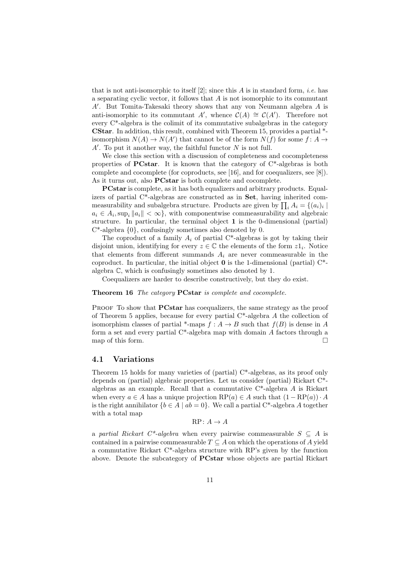that is not anti-isomorphic to itself  $[2]$ ; since this A is in standard form, *i.e.* has a separating cyclic vector, it follows that A is not isomorphic to its commutant  $A'$ . But Tomita-Takesaki theory shows that any von Neumann algebra  $A$  is anti-isomorphic to its commutant A', whence  $\mathcal{C}(A) \cong \mathcal{C}(A')$ . Therefore not every  $C^*$ -algebra is the colimit of its commutative subalgebras in the category CStar. In addition, this result, combined with Theorem 15, provides a partial \* isomorphism  $N(A) \to N(A')$  that cannot be of the form  $N(f)$  for some  $f: A \to$  $A'$ . To put it another way, the faithful functor  $N$  is not full.

We close this section with a discussion of completeness and cocompleteness properties of **PCstar**. It is known that the category of  $C^*$ -algebras is both complete and cocomplete (for coproducts, see [16], and for coequalizers, see [8]). As it turns out, also **PCstar** is both complete and cocomplete.

PCstar is complete, as it has both equalizers and arbitrary products. Equalizers of partial C\*-algebras are constructed as in Set, having inherited commeasurability and subalgebra structure. Products are given by  $\prod_i A_i = \{(a_i)_i \mid$  $a_i \in A_i$ , sup<sub>i</sub>  $||a_i|| < \infty$ , with componentwise commeasurability and algebraic structure. In particular, the terminal object 1 is the 0-dimensional (partial) C\*-algebra {0}, confusingly sometimes also denoted by 0.

The coproduct of a family  $A_i$  of partial C\*-algebras is got by taking their disjoint union, identifying for every  $z \in \mathbb{C}$  the elements of the form  $z1_i$ . Notice that elements from different summands  $A_i$  are never commeasurable in the coproduct. In particular, the initial object  $\bf{0}$  is the 1-dimensional (partial)  $\rm{C}^*$ . algebra C, which is confusingly sometimes also denoted by 1.

Coequalizers are harder to describe constructively, but they do exist.

#### Theorem 16 The category PCstar is complete and cocomplete.

PROOF To show that **PCstar** has coequalizers, the same strategy as the proof of Theorem 5 applies, because for every partial C\*-algebra A the collection of isomorphism classes of partial \*-maps  $f : A \to B$  such that  $f(B)$  is dense in A form a set and every partial  $C^*$ -algebra map with domain A factors through a map of this form.  $\Box$ 

## 4.1 Variations

Theorem 15 holds for many varieties of (partial) C\*-algebras, as its proof only depends on (partial) algebraic properties. Let us consider (partial) Rickart C\* algebras as an example. Recall that a commutative C\*-algebra A is Rickart when every  $a \in A$  has a unique projection  $RP(a) \in A$  such that  $(1 - RP(a)) \cdot A$ is the right annihilator  ${b \in A \mid ab = 0}$ . We call a partial C<sup>\*</sup>-algebra A together with a total map

$$
RP\colon A\to A
$$

a partial Rickart C<sup>\*</sup>-algebra when every pairwise commeasurable  $S \subseteq A$  is contained in a pairwise commeasurable  $T \subseteq A$  on which the operations of A yield a commutative Rickart C\*-algebra structure with RP's given by the function above. Denote the subcategory of PCstar whose objects are partial Rickart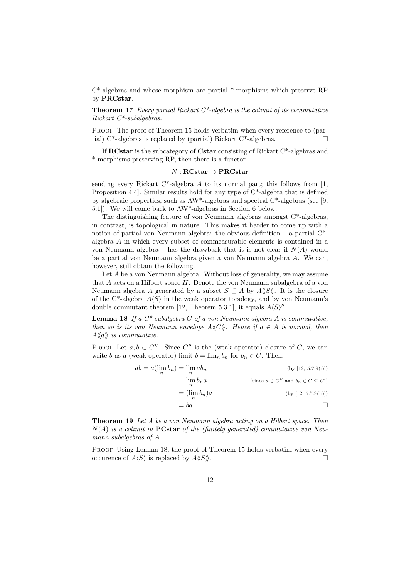C\*-algebras and whose morphism are partial \*-morphisms which preserve RP by PRCstar.

**Theorem 17** Every partial Rickart  $C^*$ -algebra is the colimit of its commutative Rickart C\*-subalgebras.

PROOF The proof of Theorem 15 holds verbatim when every reference to (partial) C<sup>\*</sup>-algebras is replaced by (partial) Rickart C<sup>\*</sup>-algebras.  $\square$ 

If RCstar is the subcategory of Cstar consisting of Rickart C\*-algebras and \*-morphisms preserving RP, then there is a functor

### $N: \mathbf{RCstar} \to \mathbf{PRCstar}$

sending every Rickart C\*-algebra  $A$  to its normal part; this follows from [1, Proposition 4.4]. Similar results hold for any type of C\*-algebra that is defined by algebraic properties, such as AW\*-algebras and spectral C\*-algebras (see [9, 5.1]). We will come back to AW\*-algebras in Section 6 below.

The distinguishing feature of von Neumann algebras amongst C\*-algebras, in contrast, is topological in nature. This makes it harder to come up with a notion of partial von Neumann algebra: the obvious definition – a partial  $C^*$ algebra A in which every subset of commeasurable elements is contained in a von Neumann algebra – has the drawback that it is not clear if  $N(A)$  would be a partial von Neumann algebra given a von Neumann algebra A. We can, however, still obtain the following.

Let A be a von Neumann algebra. Without loss of generality, we may assume that  $A$  acts on a Hilbert space  $H$ . Denote the von Neumann subalgebra of a von Neumann algebra A generated by a subset  $S \subseteq A$  by  $A\langle S \rangle$ . It is the closure of the C<sup>\*</sup>-algebra  $A\langle S \rangle$  in the weak operator topology, and by von Neumann's double commutant theorem [12, Theorem 5.3.1], it equals  $A\langle S \rangle''$ .

**Lemma 18** If a  $C^*$ -subalgebra  $C$  of a von Neumann algebra  $A$  is commutative, then so is its von Neumann envelope  $A\langle\!\langle C \rangle\!\rangle$ . Hence if  $a \in A$  is normal, then  $A\langle\!\langle a \rangle\!\rangle$  is commutative.

PROOF Let  $a, b \in C''$ . Since C'' is the (weak operator) closure of C, we can write b as a (weak operator) limit  $b = \lim_n b_n$  for  $b_n \in C$ . Then:

| $ab = a(\lim b_n) = \lim ab_n$ | (by [12, 5.7.9(i)])                               |
|--------------------------------|---------------------------------------------------|
| $=\lim b_n a$                  | (since $a \in C''$ and $b_n \in C \subseteq C'$ ) |
| $=(\lim b_n)a$                 | (by [12, 5.7.9(ii)])                              |
| $= ba.$                        |                                                   |

Theorem 19 Let A be a von Neumann algebra acting on a Hilbert space. Then  $N(A)$  is a colimit in **PCstar** of the (finitely generated) commutative von Neumann subalgebras of A.

PROOF Using Lemma 18, the proof of Theorem 15 holds verbatim when every occurence of  $A\langle S \rangle$  is replaced by  $A\langle S \rangle$ .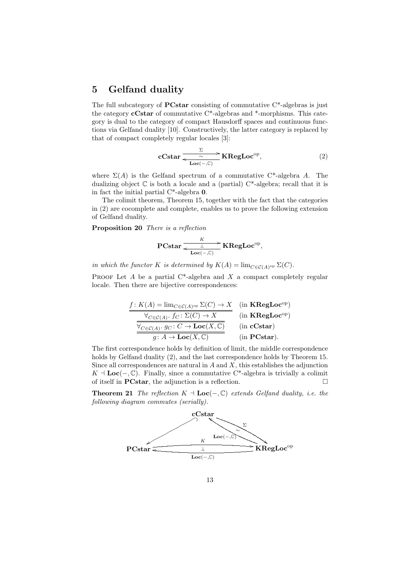# 5 Gelfand duality

The full subcategory of **PCstar** consisting of commutative  $C^*$ -algebras is just the category cCstar of commutative C\*-algebras and \*-morphisms. This category is dual to the category of compact Hausdorff spaces and continuous functions via Gelfand duality [10]. Constructively, the latter category is replaced by that of compact completely regular locales [3]:

$$
\mathbf{cCstar} \xrightarrow{\Sigma} \mathbf{KRegLoc}^{\mathrm{op}}, \tag{2}
$$

where  $\Sigma(A)$  is the Gelfand spectrum of a commutative C<sup>\*</sup>-algebra A. The dualizing object  $\mathbb C$  is both a locale and a (partial)  $C^*$ -algebra; recall that it is in fact the initial partial C\*-algebra 0.

The colimit theorem, Theorem 15, together with the fact that the categories in (2) are cocomplete and complete, enables us to prove the following extension of Gelfand duality.

Proposition 20 There is a reflection

$$
\text{PCstar} \xrightarrow[\text{Loc(-, \mathbb{C})}]{\text{LC}} \text{KRegLoc}^{\text{op}},
$$

in which the functor K is determined by  $K(A) = \lim_{C \in \mathcal{C}(A)^{op}} \Sigma(C)$ .

PROOF Let A be a partial  $C^*$ -algebra and X a compact completely regular locale. Then there are bijective correspondences:

$$
\frac{f: K(A) = \lim_{C \in \mathcal{C}(A)^{\text{op}}} \Sigma(C) \to X}{\frac{\forall_{C \in \mathcal{C}(A)} \cdot f_C: \Sigma(C) \to X}{\frac{\forall_{C \in \mathcal{C}(A)} \cdot f_C: C \to \mathbf{Loc}(X, \mathbb{C})}{\mathbf{Loc}(X, \mathbb{C})}}}} \quad (\text{in KRegLoc}^{\text{op}})
$$
\n
$$
\frac{\forall_{C \in \mathcal{C}(A)} \cdot g_C: C \to \mathbf{Loc}(X, \mathbb{C})}{g: A \to \mathbf{Loc}(X, \mathbb{C})} \quad (\text{in } \mathbf{Cstar})
$$

The first correspondence holds by definition of limit, the middle correspondence holds by Gelfand duality (2), and the last correspondence holds by Theorem 15. Since all correspondences are natural in  $A$  and  $X$ , this establishes the adjunction  $K \perp \mathbf{Loc}(-, \mathbb{C})$ . Finally, since a commutative C<sup>\*</sup>-algebra is trivially a colimit of itself in **PCstar**, the adjunction is a reflection.  $\Box$ 

**Theorem 21** The reflection  $K \dashv \text{Loc}(-, \mathbb{C})$  extends Gelfand duality, i.e. the following diagram commutes (serially).

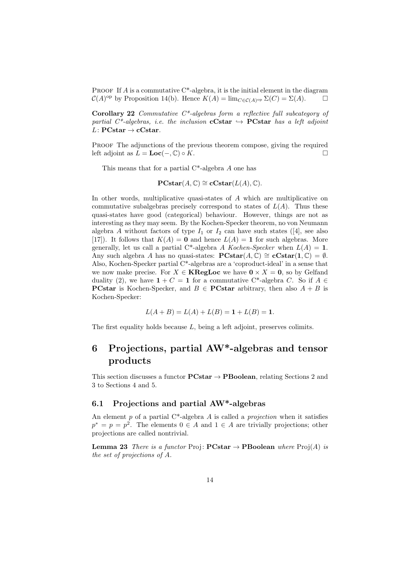**PROOF** If A is a commutative  $C^*$ -algebra, it is the initial element in the diagram  $\mathcal{C}(A)$ <sup>op</sup> by Proposition 14(b). Hence  $K(A) = \lim_{C \in \mathcal{C}(A)^\text{op}} \Sigma(C) = \Sigma(A)$ .

Corollary 22 Commutative C\*-algebras form a reflective full subcategory of partial C\*-algebras, i.e. the inclusion **cCstar**  $\rightarrow$  **PCstar** has a left adjoint  $L\colon{\mathbf{PCstar}}\to{\mathbf{cCstar}}.$ 

PROOF The adjunctions of the previous theorem compose, giving the required left adjoint as  $L = \mathbf{Loc}(-, \mathbb{C}) \circ K$ .

This means that for a partial  $C^*$ -algebra A one has

$$
\mathbf{PCstar}(A,\mathbb{C}) \cong \mathbf{cCstar}(L(A),\mathbb{C}).
$$

In other words, multiplicative quasi-states of A which are multiplicative on commutative subalgebras precisely correspond to states of  $L(A)$ . Thus these quasi-states have good (categorical) behaviour. However, things are not as interesting as they may seem. By the Kochen-Specker theorem, no von Neumann algebra A without factors of type  $I_1$  or  $I_2$  can have such states ([4], see also [17]). It follows that  $K(A) = 0$  and hence  $L(A) = 1$  for such algebras. More generally, let us call a partial C\*-algebra A Kochen-Specker when  $L(A) = 1$ . Any such algebra A has no quasi-states:  $\text{PCstar}(A, \mathbb{C}) \cong \text{cCstar}(1, \mathbb{C}) = \emptyset$ . Also, Kochen-Specker partial  $C^*$ -algebras are a 'coproduct-ideal' in a sense that we now make precise. For  $X \in \mathbf{KRegLoc}$  we have  $0 \times X = 0$ , so by Gelfand duality (2), we have  $1 + C = 1$  for a commutative C<sup>\*</sup>-algebra C. So if  $A \in$ **PCstar** is Kochen-Specker, and  $B \in \text{PCstar}$  arbitrary, then also  $A + B$  is Kochen-Specker:

$$
L(A + B) = L(A) + L(B) = \mathbf{1} + L(B) = \mathbf{1}.
$$

The first equality holds because L, being a left adjoint, preserves colimits.

# 6 Projections, partial AW\*-algebras and tensor products

This section discusses a functor  $\text{PCstar} \rightarrow \text{PBoolean}$ , relating Sections 2 and 3 to Sections 4 and 5.

## 6.1 Projections and partial AW\*-algebras

An element  $p$  of a partial C<sup>\*</sup>-algebra  $A$  is called a *projection* when it satisfies  $p^* = p = p^2$ . The elements  $0 \in A$  and  $1 \in A$  are trivially projections; other projections are called nontrivial.

**Lemma 23** There is a functor Proj:  $PCstar \rightarrow PBoolean$  where  $Proj(A)$  is the set of projections of A.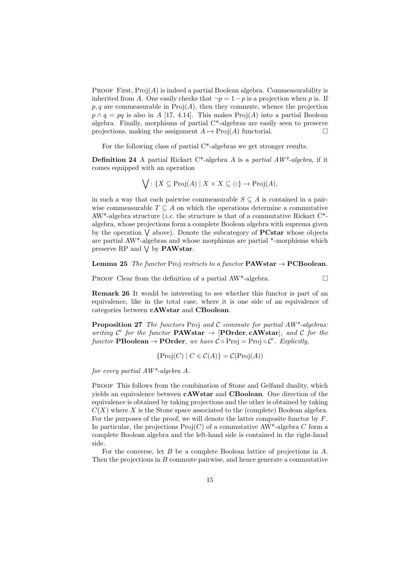PROOF First,  $Proj(A)$  is indeed a partial Boolean algebra. Commeasurability is inherited from A. One easily checks that  $\neg p = 1-p$  is a projection when p is. If  $p, q$  are commeasurable in  $\text{Proj}(A)$ , then they commute, whence the projection  $p \wedge q = pq$  is also in A [17, 4.14]. This makes Proj(A) into a partial Boolean algebra. Finally, morphisms of partial C\*-algebras are easily seen to preserve projections, making the assignment  $A \mapsto \text{Proj}(A)$  functorial.

For the following class of partial C\*-algebras we get stronger results.

**Definition 24** A partial Rickart C\*-algebra A is a partial  $AW^*$ -algebra, if it comes equipped with an operation

$$
\bigvee: \{ X \subseteq \text{Proj}(A) \mid X \times X \subseteq \odot \} \to \text{Proj}(A),
$$

in such a way that each pairwise commeasurable  $S \subseteq A$  is contained in a pairwise commeasurable  $T \subseteq A$  on which the operations determine a commutative AW<sup>\*</sup>-algebra structure (*i.e.* the structure is that of a commutative Rickart  $C^*$ algebra, whose projections form a complete Boolean algebra with suprema given by the operation  $\vee$  above). Denote the subcategory of **PCstar** whose objects are partial AW\*-algebras and whose morphisms are partial \*-morphisms which preserve RP and  $\vee$  by **PAWstar**.

#### **Lemma 25** The functor Proj restricts to a functor **PAWstar**  $\rightarrow$  **PCBoolean**.

PROOF Clear from the definition of a partial  $AW^*$ -algebra.

Remark 26 It would be interesting to see whether this functor is part of an equivalence, like in the total case, where it is one side of an equivalence of categories between cAWstar and CBoolean.

**Proposition 27** The functors Proj and C commute for partial  $AW^*$ -algebras: writing C' for the functor **PAWstar**  $\rightarrow$  [**POrder, cAWstar**], and C for the functor **PBoolean**  $\rightarrow$  **POrder**, we have  $C \circ Proj = Proj \circ C'$ . Explicitly,

$$
\{Proj(C) \mid C \in \mathcal{C}(A)\} = \mathcal{C}(\text{Proj}(A))
$$

for every partial AW\*-algebra A.

PROOF This follows from the combination of Stone and Gelfand duality, which yields an equivalence between cAWstar and CBoolean. One direction of the equivalence is obtained by taking projections and the other is obtained by taking  $C(X)$  where X is the Stone space associated to the (complete) Boolean algebra. For the purposes of the proof, we will denote the latter composite functor by  $F$ . In particular, the projections  $\text{Proj}(C)$  of a commutative AW<sup>\*</sup>-algebra C form a complete Boolean algebra and the left-hand side is contained in the right-hand side.

For the converse, let  $B$  be a complete Boolean lattice of projections in  $A$ . Then the projections in B commute pairwise, and hence generate a commutative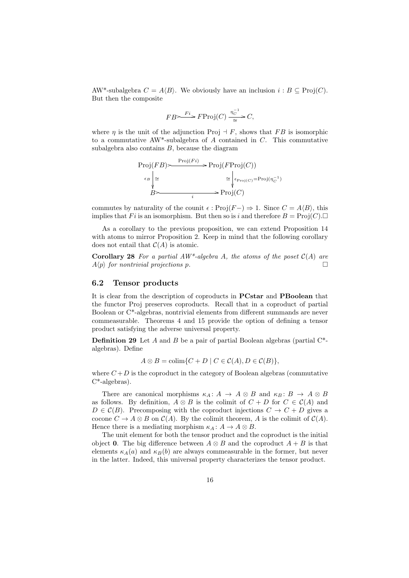AW\*-subalgebra  $C = A\langle B \rangle$ . We obviously have an inclusion  $i : B \subseteq \text{Proj}(C)$ . But then the composite

$$
FB \rightarrow F^i \rightarrow FProj(C) \xrightarrow{\eta_C^{-1}} C,
$$

where  $\eta$  is the unit of the adjunction Proj  $\exists F$ , shows that FB is isomorphic to a commutative AW<sup>\*</sup>-subalgebra of A contained in C. This commutative subalgebra also contains  $B$ , because the diagram

$$
\text{Proj}(FB) \rightarrow \text{Proj}(F_i) \rightarrow \text{Proj}(F\text{Proj}(C))
$$
\n
$$
\begin{aligned}\n\epsilon_B \downarrow \simeq & \qquad \qquad \simeq \downarrow_{\epsilon_{\text{Proj}(C)} = \text{Proj}(\eta_C^{-1})} \\
B & \qquad \qquad \searrow \qquad \qquad \searrow \\
\epsilon_B \downarrow & \qquad \qquad \simeq \text{Proj}(C)\n\end{aligned}
$$

commutes by naturality of the counit  $\epsilon : Proj(F-) \Rightarrow 1$ . Since  $C = A\langle B \rangle$ , this implies that F i is an isomorphism. But then so is i and therefore  $B = \text{Proj}(C)$ .

As a corollary to the previous proposition, we can extend Proposition 14 with atoms to mirror Proposition 2. Keep in mind that the following corollary does not entail that  $C(A)$  is atomic.

**Corollary 28** For a partial  $AW^*$ -algebra A, the atoms of the poset  $C(A)$  are  $A\langle p \rangle$  for nontrivial projections p.

### 6.2 Tensor products

It is clear from the description of coproducts in PCstar and PBoolean that the functor Proj preserves coproducts. Recall that in a coproduct of partial Boolean or  $\mathrm{C}^*$ -algebras, nontrivial elements from different summands are never commeasurable. Theorems 4 and 15 provide the option of defining a tensor product satisfying the adverse universal property.

**Definition 29** Let A and B be a pair of partial Boolean algebras (partial  $C^*$ algebras). Define

$$
A \otimes B = \operatorname{colim} \{ C + D \mid C \in \mathcal{C}(A), D \in \mathcal{C}(B) \},
$$

where  $C+D$  is the coproduct in the category of Boolean algebras (commutative C\*-algebras).

There are canonical morphisms  $\kappa_A: A \to A \otimes B$  and  $\kappa_B: B \to A \otimes B$ as follows. By definition,  $A \otimes B$  is the colimit of  $C + D$  for  $C \in C(A)$  and  $D \in \mathcal{C}(B)$ . Precomposing with the coproduct injections  $C \to C + D$  gives a cocone  $C \to A \otimes B$  on  $\mathcal{C}(A)$ . By the colimit theorem, A is the colimit of  $\mathcal{C}(A)$ . Hence there is a mediating morphism  $\kappa_A : A \to A \otimes B$ .

The unit element for both the tensor product and the coproduct is the initial object 0. The big difference between  $A \otimes B$  and the coproduct  $A + B$  is that elements  $\kappa_A(a)$  and  $\kappa_B(b)$  are always commeasurable in the former, but never in the latter. Indeed, this universal property characterizes the tensor product.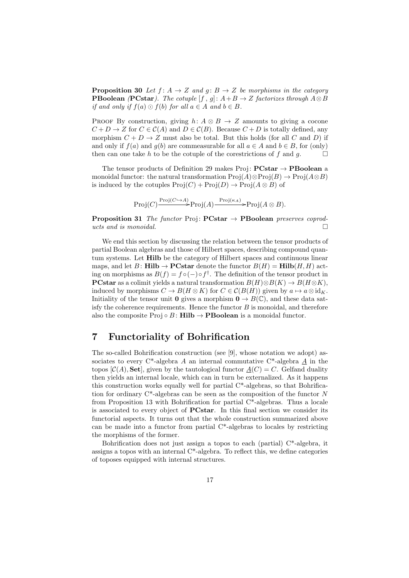**Proposition 30** Let  $f: A \rightarrow Z$  and  $g: B \rightarrow Z$  be morphisms in the category **PBoolean (PCstar).** The cotuple [f, g]:  $A + B \rightarrow Z$  factorizes through  $A \otimes B$ if and only if  $f(a) \odot f(b)$  for all  $a \in A$  and  $b \in B$ .

PROOF By construction, giving  $h: A \otimes B \to Z$  amounts to giving a cocone  $C + D \to Z$  for  $C \in \mathcal{C}(A)$  and  $D \in \mathcal{C}(B)$ . Because  $C + D$  is totally defined, any morphism  $C + D \rightarrow Z$  must also be total. But this holds (for all C and D) if and only if  $f(a)$  and  $g(b)$  are commeasurable for all  $a \in A$  and  $b \in B$ , for (only) then can one take h to be the cotuple of the corestrictions of f and g.  $\Box$ 

The tensor products of Definition 29 makes Proj:  $\text{PCstar} \rightarrow \text{PBoolean}$  a monoidal functor: the natural transformation  $\text{Proj}(A)\otimes\text{Proj}(B)\to\text{Proj}(A\otimes B)$ is induced by the cotuples  $\text{Proj}(C) + \text{Proj}(D) \rightarrow \text{Proj}(A \otimes B)$  of

$$
\mathrm{Proj}(C) \xrightarrow{\mathrm{Proj}(C \hookrightarrow A)} \mathrm{Proj}(A) \xrightarrow{\mathrm{Proj}(\kappa_A)} \mathrm{Proj}(A \otimes B).
$$

**Proposition 31** The functor Proj:  $PCstar \rightarrow PBoolean$  preserves coproducts and is monoidal.

We end this section by discussing the relation between the tensor products of partial Boolean algebras and those of Hilbert spaces, describing compound quantum systems. Let Hilb be the category of Hilbert spaces and continuous linear maps, and let  $B:$  Hilb  $\rightarrow$  PCstar denote the functor  $B(H) =$  Hilb $(H, H)$  acting on morphisms as  $B(f) = f \circ (-) \circ f^{\dagger}$ . The definition of the tensor product in **PCstar** as a colimit yields a natural transformation  $B(H) \otimes B(K) \rightarrow B(H \otimes K)$ , induced by morphisms  $C \to B(H \otimes K)$  for  $C \in \mathcal{C}(B(H))$  given by  $a \mapsto a \otimes id_K$ . Initiality of the tensor unit 0 gives a morphism  $0 \to B(\mathbb{C})$ , and these data satisfy the coherence requirements. Hence the functor  $B$  is monoidal, and therefore also the composite Proj  $\circ$  B: Hilb  $\rightarrow$  PBoolean is a monoidal functor.

## 7 Functoriality of Bohrification

The so-called Bohrification construction (see [9], whose notation we adopt) associates to every  $C^*$ -algebra A an internal commutative  $C^*$ -algebra A in the topos  $[\mathcal{C}(A), \mathbf{Set}]$ , given by the tautological functor  $A(C) = C$ . Gelfand duality then yields an internal locale, which can in turn be externalized. As it happens this construction works equally well for partial C\*-algebras, so that Bohrification for ordinary C\*-algebras can be seen as the composition of the functor N from Proposition 13 with Bohrification for partial  $C^*$ -algebras. Thus a locale is associated to every object of PCstar. In this final section we consider its functorial aspects. It turns out that the whole construction summarized above can be made into a functor from partial C\*-algebras to locales by restricting the morphisms of the former.

Bohrification does not just assign a topos to each (partial) C\*-algebra, it assigns a topos with an internal C\*-algebra. To reflect this, we define categories of toposes equipped with internal structures.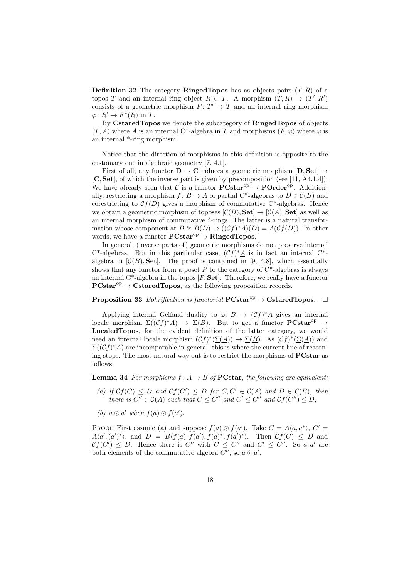**Definition 32** The category **RingedTopos** has as objects pairs  $(T, R)$  of a topos T and an internal ring object  $R \in T$ . A morphism  $(T, R) \to (T', R')$ consists of a geometric morphism  $F: T' \to T$  and an internal ring morphism  $\varphi\colon R'\to F^*(R)$  in T.

By CstaredTopos we denote the subcategory of RingedTopos of objects  $(T, A)$  where A is an internal C<sup>\*</sup>-algebra in T and morphisms  $(F, \varphi)$  where  $\varphi$  is an internal \*-ring morphism.

Notice that the direction of morphisms in this definition is opposite to the customary one in algebraic geometry [7, 4.1].

First of all, any functor  $\mathbf{D} \to \mathbf{C}$  induces a geometric morphism  $[\mathbf{D}, \mathbf{Set}] \to$ [C, Set], of which the inverse part is given by precomposition (see [11, A4.1.4]). We have already seen that C is a functor  $\mathbf{PCstar}^{\mathrm{op}} \to \mathbf{POrder}^{\mathrm{op}}$ . Additionally, restricting a morphism  $f: B \to A$  of partial C<sup>\*</sup>-algebras to  $D \in \mathcal{C}(B)$  and corestricting to  $Cf(D)$  gives a morphism of commutative C<sup>\*</sup>-algebras. Hence we obtain a geometric morphism of toposes  $[\mathcal{C}(B), \mathbf{Set}] \to [\mathcal{C}(A), \mathbf{Set}]$  as well as an internal morphism of commutative \*-rings. The latter is a natural transformation whose component at D is  $\underline{B}(D) \to ((\mathcal{C}f)^*\underline{A})(D) = \underline{A}(\mathcal{C}f(D)).$  In other words, we have a functor  $\text{PCstar}^{\text{op}} \to \text{RingedTopos.}$ 

In general, (inverse parts of) geometric morphisms do not preserve internal C<sup>\*</sup>-algebras. But in this particular case,  $(\mathcal{C}f)^*\underline{A}$  is in fact an internal C<sup>\*</sup>algebra in  $[\mathcal{C}(B), \mathbf{Set}]$ . The proof is contained in [9, 4.8], which essentially shows that any functor from a poset P to the category of  $C^*$ -algebras is always an internal  $C^*$ -algebra in the topos  $[P, Set]$ . Therefore, we really have a functor  $\text{PCstar}^{\text{op}} \to \text{CstaredTopos}$ , as the following proposition records.

### **Proposition 33** Bohrification is functorial  $\text{PCstar}^{\text{op}} \to \text{CstredTopos.}$

Applying internal Gelfand duality to  $\varphi: \underline{B} \to (\mathcal{C}f)^*\underline{A}$  gives an internal locale morphism  $\Sigma((\mathcal{C}f)^*\underline{A}) \to \Sigma(\underline{B})$ . But to get a functor **PCstar**<sup>op</sup>  $\to$ LocaledTopos, for the evident definition of the latter category, we would need an internal locale morphism  $(\mathcal{C}f)^*(\Sigma(\underline{A})) \to \Sigma(\underline{B})$ . As  $(\mathcal{C}f)^*(\Sigma(\underline{A}))$  and  $\mathcal{L}((\mathcal{C}f)^*\underline{A})$  are incomparable in general, this is where the current line of reasoning stops. The most natural way out is to restrict the morphisms of PCstar as follows.

**Lemma 34** For morphisms  $f: A \rightarrow B$  of **PCstar**, the following are equivalent:

- (a) if  $\mathcal{C}f(C) \leq D$  and  $\mathcal{C}f(C') \leq D$  for  $C, C' \in \mathcal{C}(A)$  and  $D \in \mathcal{C}(B)$ , then there is  $C'' \in \mathcal{C}(A)$  such that  $C \leq C''$  and  $C' \leq C''$  and  $\mathcal{C}f(C'') \leq D$ ;
- (b)  $a \odot a'$  when  $f(a) \odot f(a')$ .

PROOF First assume (a) and suppose  $f(a) \odot f(a')$ . Take  $C = A\langle a, a^* \rangle$ ,  $C' =$  $A\langle a', (a')^* \rangle$ , and  $D = B\langle f(a), f(a'), f(a)^*, f(a')^* \rangle$ . Then  $\mathcal{C}f(C) \leq D$  and  $\mathcal{C}f(C') \leq D$ . Hence there is C'' with  $C \leq C''$  and  $C' \leq C''$ . So a, a' are both elements of the commutative algebra  $C''$ , so  $a \odot a'$ .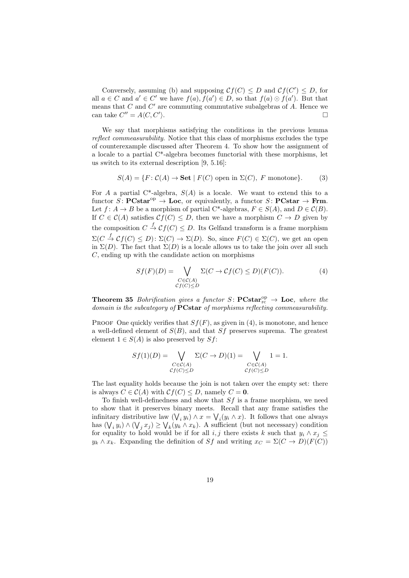Conversely, assuming (b) and supposing  $\mathcal{C}f(C) \leq D$  and  $\mathcal{C}f(C') \leq D$ , for all  $a \in C$  and  $a' \in C'$  we have  $f(a), f(a') \in D$ , so that  $f(a) \odot f(a')$ . But that means that  $C$  and  $C'$  are commuting commutative subalgebras of  $A$ . Hence we can take  $C'' = A \langle C, C' \rangle$  $\mathcal{L}$ .

We say that morphisms satisfying the conditions in the previous lemma reflect commeasurability. Notice that this class of morphisms excludes the type of counterexample discussed after Theorem 4. To show how the assignment of a locale to a partial C\*-algebra becomes functorial with these morphisms, let us switch to its external description [9, 5.16]:

$$
S(A) = \{ F : C(A) \to \mathbf{Set} \mid F(C) \text{ open in } \Sigma(C), F \text{ monotone} \}. \tag{3}
$$

For A a partial C\*-algebra,  $S(A)$  is a locale. We want to extend this to a functor  $S:$  **PCstar**<sup>op</sup>  $\rightarrow$  **Loc**, or equivalently, a functor  $S:$  **PCstar**  $\rightarrow$  **Frm.** Let  $f: A \to B$  be a morphism of partial C\*-algebras,  $F \in S(A)$ , and  $D \in \mathcal{C}(B)$ . If  $C \in \mathcal{C}(A)$  satisfies  $\mathcal{C}f(C) \leq D$ , then we have a morphism  $C \to D$  given by the composition  $C \stackrel{f}{\rightarrow} \mathcal{C}f(C) \leq D$ . Its Gelfand transform is a frame morphism  $\Sigma(C \stackrel{f}{\to} \mathcal{C}f(C) \leq D)$ :  $\Sigma(C) \to \Sigma(D)$ . So, since  $F(C) \in \Sigma(C)$ , we get an open in  $\Sigma(D)$ . The fact that  $\Sigma(D)$  is a locale allows us to take the join over all such C, ending up with the candidate action on morphisms

$$
Sf(F)(D) = \bigvee_{\substack{C \in \mathcal{C}(A) \\ \mathcal{C}f(C) \le D}} \Sigma(C \to \mathcal{C}f(C) \le D)(F(C)).
$$
 (4)

**Theorem 35** Bohrification gives a functor  $S:$  **PCstar**<sup>op</sup><sub>c</sub>  $\rightarrow$  **Loc**, where the domain is the subcategory of **PCstar** of morphisms reflecting commeasurability.

PROOF One quickly verifies that  $Sf(F)$ , as given in (4), is monotone, and hence a well-defined element of  $S(B)$ , and that  $Sf$  preserves suprema. The greatest element  $1 \in S(A)$  is also preserved by  $Sf$ :

$$
Sf(1)(D) = \bigvee_{\substack{C \in \mathcal{C}(A) \\ \mathcal{C}f(C) \le D}} \Sigma(C \to D)(1) = \bigvee_{\substack{C \in \mathcal{C}(A) \\ \mathcal{C}f(C) \le D}} 1 = 1.
$$

The last equality holds because the join is not taken over the empty set: there is always  $C \in \mathcal{C}(A)$  with  $\mathcal{C}f(C) \leq D$ , namely  $C = 0$ .

To finish well-definedness and show that  $Sf$  is a frame morphism, we need to show that it preserves binary meets. Recall that any frame satisfies the infinitary distributive law  $(\bigvee_i y_i) \wedge x = \bigvee_i (y_i \wedge x)$ . It follows that one always has  $(\bigvee_i y_i) \wedge (\bigvee_j x_j) \ge \bigvee_k (y_k \wedge x_k)$ . A sufficient (but not necessary) condition for equality to hold would be if for all i, j there exists k such that  $y_i \wedge x_j \leq$  $y_k \wedge x_k$ . Expanding the definition of Sf and writing  $x_C = \Sigma(C \rightarrow D)(F(C))$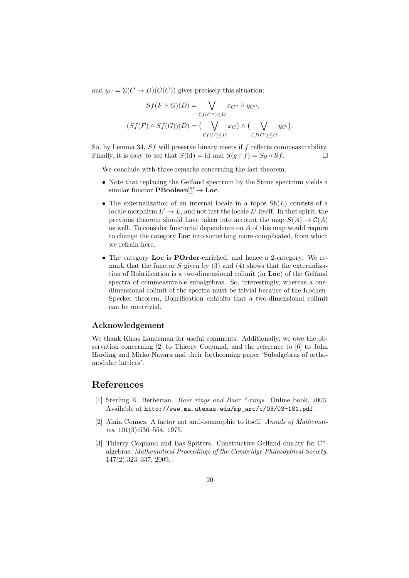and  $y_C = \Sigma(C \to D)(G(C))$  gives precisely this situation:

$$
Sf(F \wedge G)(D) = \bigvee_{Cf(C'') \le D} x_{C''} \wedge y_{C''},
$$

$$
(Sf(F) \wedge Sf(G))(D) = (\bigvee_{Cf(C) \le D} x_C) \wedge (\bigvee_{Cf(C') \le D} y_{C'}).
$$

So, by Lemma 34, Sf will preserve binary meets if f reflects commeasurability. Finally, it is easy to see that  $S(id) = id$  and  $S(q \circ f) = Sq \circ Sf$ .

We conclude with three remarks concerning the last theorem.

- Note that replacing the Gelfand spectrum by the Stone spectrum yields a similar functor  $\mathbf{PBoolean}^{\mathrm{op}}_{\mathrm{rc}} \to \mathbf{Loc}.$
- The externalization of an internal locale in a topos  $\mathrm{Sh}(L)$  consists of a locale morphism  $L' \to L$ , and not just the locale L' itself. In that spirit, the previous theorem should have taken into account the map  $S(A) \to C(A)$ as well. To consider functorial dependence on A of this map would require to change the category Loc into something more complicated, from which we refrain here.
- The category Loc is POrder-enriched, and hence a 2-category. We remark that the functor  $S$  given by (3) and (4) shows that the externalization of Bohrification is a two-dimensional colimit (in Loc) of the Gelfand spectra of commeasurable subalgebras. So, interestingly, whereas a onedimensional colimit of the spectra must be trivial because of the Kochen-Specker theorem, Bohrification exhibits that a two-dimensional colimit can be nontrivial.

### Acknowledgement

We thank Klaas Landsman for useful comments. Additionally, we owe the observation concerning [2] to Thierry Coquand, and the reference to [6] to John Harding and Mirko Navara and their forthcoming paper 'Subalgebras of orthomodular lattices'.

## References

- [1] Sterling K. Berberian. Baer rings and Baer \*-rings. Online book, 2003. Available at http://www.ma.utexas.edu/mp\_arc/c/03/03-181.pdf.
- [2] Alain Connes. A factor not anti-isomorphic to itself. Annals of Mathemat $ics, 101(3):536-554, 1975.$
- [3] Thierry Coquand and Bas Spitters. Constructive Gelfand duality for C\* algebras. Mathematical Proceedings of the Cambridge Philosophical Society, 147(2):323–337, 2009.